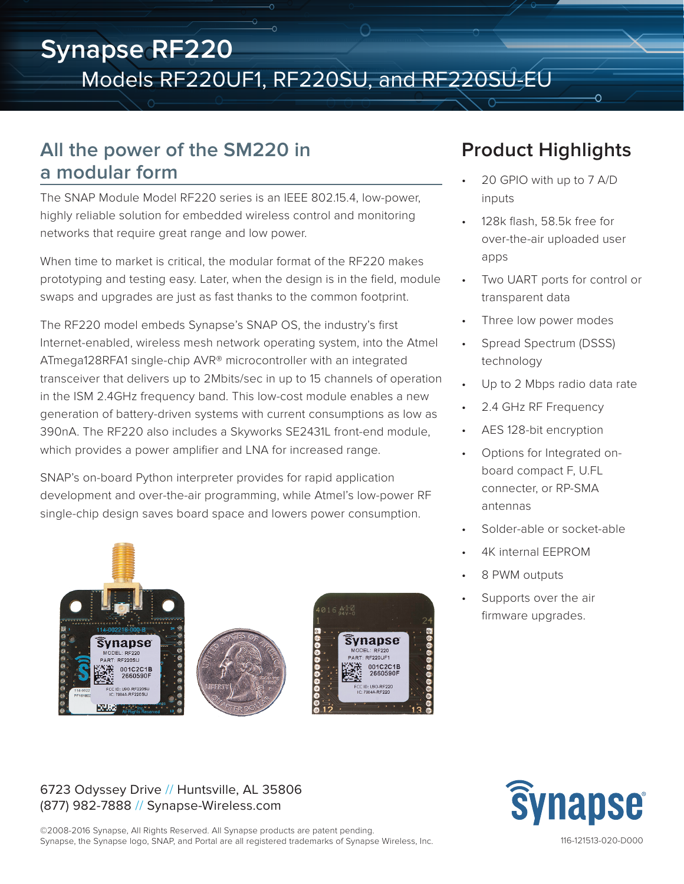# **Synapse RF220** Models RF220UF1, RF220SU, and RF220SU-EU

### **All the power of the SM220 in a modular form**

The SNAP Module Model RF220 series is an IEEE 802.15.4, low-power, highly reliable solution for embedded wireless control and monitoring networks that require great range and low power.

When time to market is critical, the modular format of the RF220 makes prototyping and testing easy. Later, when the design is in the field, module swaps and upgrades are just as fast thanks to the common footprint.

The RF220 model embeds Synapse's SNAP OS, the industry's first Internet-enabled, wireless mesh network operating system, into the Atmel ATmega128RFA1 single-chip AVR® microcontroller with an integrated transceiver that delivers up to 2Mbits/sec in up to 15 channels of operation in the ISM 2.4GHz frequency band. This low-cost module enables a new generation of battery-driven systems with current consumptions as low as 390nA. The RF220 also includes a Skyworks SE2431L front-end module, which provides a power amplifier and LNA for increased range.

SNAP's on-board Python interpreter provides for rapid application development and over-the-air programming, while Atmel's low-power RF single-chip design saves board space and lowers power consumption.



## **Product Highlights**

Õ

- 20 GPIO with up to 7 A/D inputs
- 128k flash, 58.5k free for over-the-air uploaded user apps
- Two UART ports for control or transparent data
- Three low power modes
- Spread Spectrum (DSSS) technology
- Up to 2 Mbps radio data rate
- 2.4 GHz RF Frequency
- AES 128-bit encryption
- Options for Integrated onboard compact F, U.FL connecter, or RP-SMA antennas
- Solder-able or socket-able
- 4K internal EEPROM
- 8 PWM outputs
- Supports over the air firmware upgrades.

#### 6723 Odyssey Drive // Huntsville, AL 35806 (877) 982-7888 // Synapse-Wireless.com

©2008-2016 Synapse, All Rights Reserved. All Synapse products are patent pending. Synapse, the Synapse logo, SNAP, and Portal are all registered trademarks of Synapse Wireless, Inc.